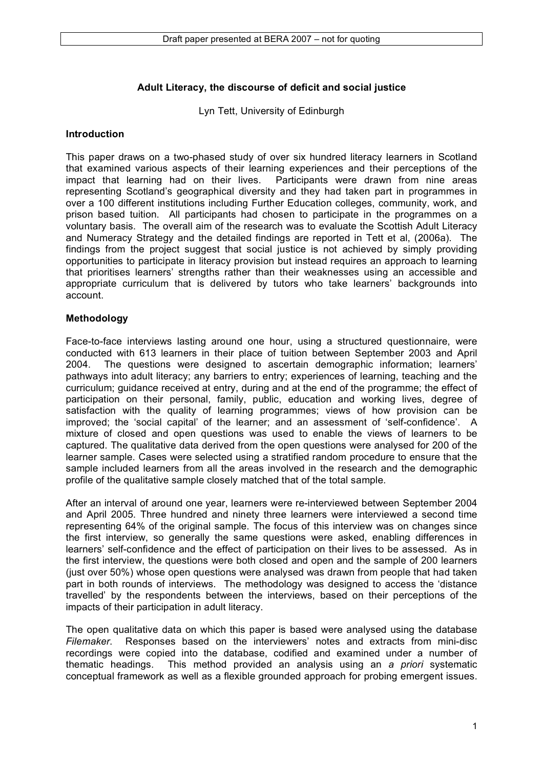### **Adult Literacy, the discourse of deficit and social justice**

Lyn Tett, University of Edinburgh

#### **Introduction**

This paper draws on a two-phased study of over six hundred literacy learners in Scotland that examined various aspects of their learning experiences and their perceptions of the impact that learning had on their lives. Participants were drawn from nine areas representing Scotland's geographical diversity and they had taken part in programmes in over a 100 different institutions including Further Education colleges, community, work, and prison based tuition. All participants had chosen to participate in the programmes on a voluntary basis. The overall aim of the research was to evaluate the Scottish Adult Literacy and Numeracy Strategy and the detailed findings are reported in Tett et al, (2006a). The findings from the project suggest that social justice is not achieved by simply providing opportunities to participate in literacy provision but instead requires an approach to learning that prioritises learners' strengths rather than their weaknesses using an accessible and appropriate curriculum that is delivered by tutors who take learners' backgrounds into account.

#### **Methodology**

Face-to-face interviews lasting around one hour, using a structured questionnaire, were conducted with 613 learners in their place of tuition between September 2003 and April 2004. The questions were designed to ascertain demographic information; learners' pathways into adult literacy; any barriers to entry; experiences of learning, teaching and the curriculum; guidance received at entry, during and at the end of the programme; the effect of participation on their personal, family, public, education and working lives, degree of satisfaction with the quality of learning programmes; views of how provision can be improved; the 'social capital' of the learner; and an assessment of 'self-confidence'. A mixture of closed and open questions was used to enable the views of learners to be captured. The qualitative data derived from the open questions were analysed for 200 of the learner sample. Cases were selected using a stratified random procedure to ensure that the sample included learners from all the areas involved in the research and the demographic profile of the qualitative sample closely matched that of the total sample.

After an interval of around one year, learners were re-interviewed between September 2004 and April 2005. Three hundred and ninety three learners were interviewed a second time representing 64% of the original sample. The focus of this interview was on changes since the first interview, so generally the same questions were asked, enabling differences in learners' self-confidence and the effect of participation on their lives to be assessed. As in the first interview, the questions were both closed and open and the sample of 200 learners (just over 50%) whose open questions were analysed was drawn from people that had taken part in both rounds of interviews. The methodology was designed to access the 'distance travelled' by the respondents between the interviews, based on their perceptions of the impacts of their participation in adult literacy.

The open qualitative data on which this paper is based were analysed using the database *Filemaker*. Responses based on the interviewers' notes and extracts from mini-disc recordings were copied into the database, codified and examined under a number of thematic headings. This method provided an analysis using an *a priori* systematic conceptual framework as well as a flexible grounded approach for probing emergent issues.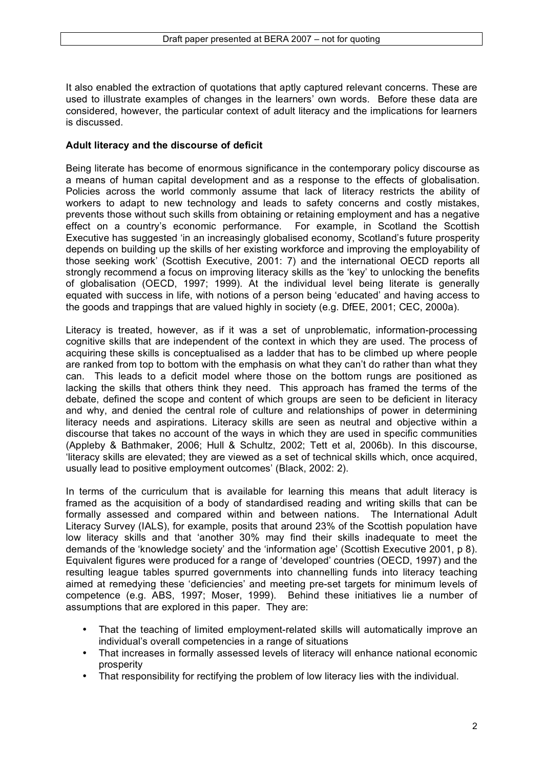It also enabled the extraction of quotations that aptly captured relevant concerns. These are used to illustrate examples of changes in the learners' own words. Before these data are considered, however, the particular context of adult literacy and the implications for learners is discussed.

#### **Adult literacy and the discourse of deficit**

Being literate has become of enormous significance in the contemporary policy discourse as a means of human capital development and as a response to the effects of globalisation. Policies across the world commonly assume that lack of literacy restricts the ability of workers to adapt to new technology and leads to safety concerns and costly mistakes, prevents those without such skills from obtaining or retaining employment and has a negative effect on a country's economic performance. For example, in Scotland the Scottish effect on a country's economic performance. Executive has suggested 'in an increasingly globalised economy, Scotland's future prosperity depends on building up the skills of her existing workforce and improving the employability of those seeking work' (Scottish Executive, 2001: 7) and the international OECD reports all strongly recommend a focus on improving literacy skills as the 'key' to unlocking the benefits of globalisation (OECD, 1997; 1999). At the individual level being literate is generally equated with success in life, with notions of a person being 'educated' and having access to the goods and trappings that are valued highly in society (e.g. DfEE, 2001; CEC, 2000a).

Literacy is treated, however, as if it was a set of unproblematic, information-processing cognitive skills that are independent of the context in which they are used. The process of acquiring these skills is conceptualised as a ladder that has to be climbed up where people are ranked from top to bottom with the emphasis on what they can't do rather than what they can. This leads to a deficit model where those on the bottom rungs are positioned as lacking the skills that others think they need. This approach has framed the terms of the debate, defined the scope and content of which groups are seen to be deficient in literacy and why, and denied the central role of culture and relationships of power in determining literacy needs and aspirations. Literacy skills are seen as neutral and objective within a discourse that takes no account of the ways in which they are used in specific communities (Appleby & Bathmaker, 2006; Hull & Schultz, 2002; Tett et al, 2006b). In this discourse, 'literacy skills are elevated; they are viewed as a set of technical skills which, once acquired, usually lead to positive employment outcomes' (Black, 2002: 2).

In terms of the curriculum that is available for learning this means that adult literacy is framed as the acquisition of a body of standardised reading and writing skills that can be formally assessed and compared within and between nations. The International Adult Literacy Survey (IALS), for example, posits that around 23% of the Scottish population have low literacy skills and that 'another 30% may find their skills inadequate to meet the demands of the 'knowledge society' and the 'information age' (Scottish Executive 2001, p 8). Equivalent figures were produced for a range of 'developed' countries (OECD, 1997) and the resulting league tables spurred governments into channelling funds into literacy teaching aimed at remedying these 'deficiencies' and meeting pre-set targets for minimum levels of competence (e.g. ABS, 1997; Moser, 1999). Behind these initiatives lie a number of assumptions that are explored in this paper. They are:

- That the teaching of limited employment-related skills will automatically improve an individual's overall competencies in a range of situations
- That increases in formally assessed levels of literacy will enhance national economic prosperity
- That responsibility for rectifying the problem of low literacy lies with the individual.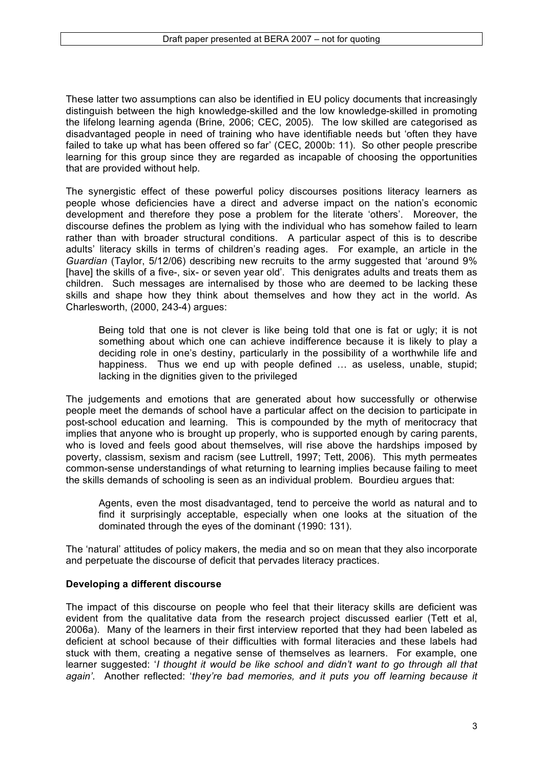These latter two assumptions can also be identified in EU policy documents that increasingly distinguish between the high knowledge-skilled and the low knowledge-skilled in promoting the lifelong learning agenda (Brine, 2006; CEC, 2005). The low skilled are categorised as disadvantaged people in need of training who have identifiable needs but 'often they have failed to take up what has been offered so far' (CEC, 2000b: 11). So other people prescribe learning for this group since they are regarded as incapable of choosing the opportunities that are provided without help.

The synergistic effect of these powerful policy discourses positions literacy learners as people whose deficiencies have a direct and adverse impact on the nation's economic development and therefore they pose a problem for the literate 'others'. Moreover, the discourse defines the problem as lying with the individual who has somehow failed to learn rather than with broader structural conditions. A particular aspect of this is to describe adults' literacy skills in terms of children's reading ages. For example, an article in the *Guardian* (Taylor, 5/12/06) describing new recruits to the army suggested that 'around 9% [have] the skills of a five-, six- or seven year old'. This denigrates adults and treats them as children. Such messages are internalised by those who are deemed to be lacking these skills and shape how they think about themselves and how they act in the world. As Charlesworth, (2000, 243-4) argues:

Being told that one is not clever is like being told that one is fat or ugly; it is not something about which one can achieve indifference because it is likely to play a deciding role in one's destiny, particularly in the possibility of a worthwhile life and happiness. Thus we end up with people defined … as useless, unable, stupid; lacking in the dignities given to the privileged

The judgements and emotions that are generated about how successfully or otherwise people meet the demands of school have a particular affect on the decision to participate in post-school education and learning. This is compounded by the myth of meritocracy that implies that anyone who is brought up properly, who is supported enough by caring parents, who is loved and feels good about themselves, will rise above the hardships imposed by poverty, classism, sexism and racism (see Luttrell, 1997; Tett, 2006). This myth permeates common-sense understandings of what returning to learning implies because failing to meet the skills demands of schooling is seen as an individual problem. Bourdieu argues that:

Agents, even the most disadvantaged, tend to perceive the world as natural and to find it surprisingly acceptable, especially when one looks at the situation of the dominated through the eyes of the dominant (1990: 131).

The 'natural' attitudes of policy makers, the media and so on mean that they also incorporate and perpetuate the discourse of deficit that pervades literacy practices.

# **Developing a different discourse**

The impact of this discourse on people who feel that their literacy skills are deficient was evident from the qualitative data from the research project discussed earlier (Tett et al, 2006a). Many of the learners in their first interview reported that they had been labeled as deficient at school because of their difficulties with formal literacies and these labels had stuck with them, creating a negative sense of themselves as learners. For example, one learner suggested: '*I thought it would be like school and didn't want to go through all that again'*. Another reflected: '*they're bad memories, and it puts you off learning because it*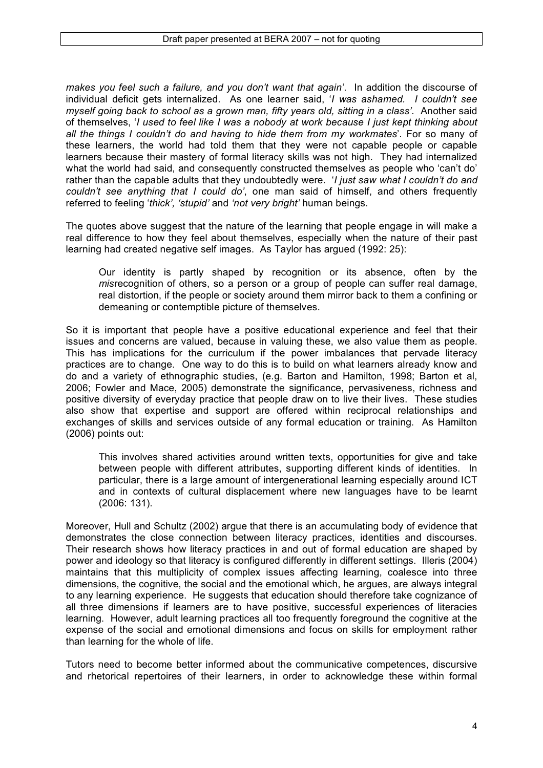*makes you feel such a failure, and you don't want that again'*. In addition the discourse of individual deficit gets internalized. As one learner said, '*I was ashamed. I couldn't see myself going back to school as a grown man, fifty years old, sitting in a class'*. Another said of themselves, '*I used to feel like I was a nobody at work because I just kept thinking about all the things I couldn't do and having to hide them from my workmates*'. For so many of these learners, the world had told them that they were not capable people or capable learners because their mastery of formal literacy skills was not high. They had internalized what the world had said, and consequently constructed themselves as people who 'can't do' rather than the capable adults that they undoubtedly were. '*I just saw what I couldn't do and couldn't see anything that I could do'*, one man said of himself, and others frequently referred to feeling '*thick', 'stupid'* and *'not very bright'* human beings.

The quotes above suggest that the nature of the learning that people engage in will make a real difference to how they feel about themselves, especially when the nature of their past learning had created negative self images. As Taylor has argued (1992: 25):

Our identity is partly shaped by recognition or its absence, often by the *mis*recognition of others, so a person or a group of people can suffer real damage, real distortion, if the people or society around them mirror back to them a confining or demeaning or contemptible picture of themselves.

So it is important that people have a positive educational experience and feel that their issues and concerns are valued, because in valuing these, we also value them as people. This has implications for the curriculum if the power imbalances that pervade literacy practices are to change. One way to do this is to build on what learners already know and do and a variety of ethnographic studies, (e.g. Barton and Hamilton, 1998; Barton et al, 2006; Fowler and Mace, 2005) demonstrate the significance, pervasiveness, richness and positive diversity of everyday practice that people draw on to live their lives. These studies also show that expertise and support are offered within reciprocal relationships and exchanges of skills and services outside of any formal education or training. As Hamilton (2006) points out:

This involves shared activities around written texts, opportunities for give and take between people with different attributes, supporting different kinds of identities. In particular, there is a large amount of intergenerational learning especially around ICT and in contexts of cultural displacement where new languages have to be learnt (2006: 131).

Moreover, Hull and Schultz (2002) argue that there is an accumulating body of evidence that demonstrates the close connection between literacy practices, identities and discourses. Their research shows how literacy practices in and out of formal education are shaped by power and ideology so that literacy is configured differently in different settings. Illeris (2004) maintains that this multiplicity of complex issues affecting learning, coalesce into three dimensions, the cognitive, the social and the emotional which, he argues, are always integral to any learning experience. He suggests that education should therefore take cognizance of all three dimensions if learners are to have positive, successful experiences of literacies learning. However, adult learning practices all too frequently foreground the cognitive at the expense of the social and emotional dimensions and focus on skills for employment rather than learning for the whole of life.

Tutors need to become better informed about the communicative competences, discursive and rhetorical repertoires of their learners, in order to acknowledge these within formal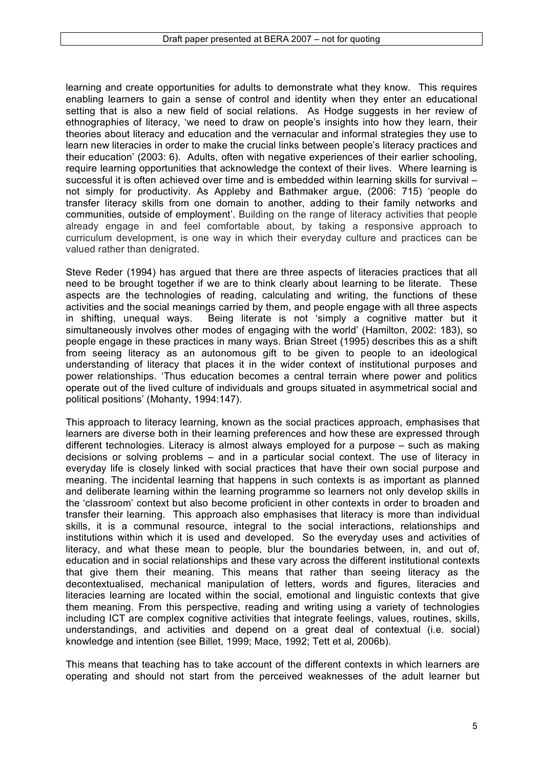learning and create opportunities for adults to demonstrate what they know. This requires enabling learners to gain a sense of control and identity when they enter an educational setting that is also a new field of social relations. As Hodge suggests in her review of ethnographies of literacy, 'we need to draw on people's insights into how they learn, their theories about literacy and education and the vernacular and informal strategies they use to learn new literacies in order to make the crucial links between people's literacy practices and their education' (2003: 6). Adults, often with negative experiences of their earlier schooling, require learning opportunities that acknowledge the context of their lives. Where learning is successful it is often achieved over time and is embedded within learning skills for survival – not simply for productivity. As Appleby and Bathmaker argue, (2006: 715) 'people do transfer literacy skills from one domain to another, adding to their family networks and communities, outside of employment'. Building on the range of literacy activities that people already engage in and feel comfortable about, by taking a responsive approach to curriculum development, is one way in which their everyday culture and practices can be valued rather than denigrated.

Steve Reder (1994) has argued that there are three aspects of literacies practices that all need to be brought together if we are to think clearly about learning to be literate. These aspects are the technologies of reading, calculating and writing, the functions of these activities and the social meanings carried by them, and people engage with all three aspects in shifting, unequal ways. Being literate is not 'simply a cognitive matter but it simultaneously involves other modes of engaging with the world' (Hamilton, 2002: 183), so people engage in these practices in many ways. Brian Street (1995) describes this as a shift from seeing literacy as an autonomous gift to be given to people to an ideological understanding of literacy that places it in the wider context of institutional purposes and power relationships. 'Thus education becomes a central terrain where power and politics operate out of the lived culture of individuals and groups situated in asymmetrical social and political positions' (Mohanty, 1994:147).

This approach to literacy learning, known as the social practices approach, emphasises that learners are diverse both in their learning preferences and how these are expressed through different technologies. Literacy is almost always employed for a purpose – such as making decisions or solving problems – and in a particular social context. The use of literacy in everyday life is closely linked with social practices that have their own social purpose and meaning. The incidental learning that happens in such contexts is as important as planned and deliberate learning within the learning programme so learners not only develop skills in the 'classroom' context but also become proficient in other contexts in order to broaden and transfer their learning. This approach also emphasises that literacy is more than individual skills, it is a communal resource, integral to the social interactions, relationships and institutions within which it is used and developed. So the everyday uses and activities of literacy, and what these mean to people, blur the boundaries between, in, and out of, education and in social relationships and these vary across the different institutional contexts that give them their meaning. This means that rather than seeing literacy as the decontextualised, mechanical manipulation of letters, words and figures, literacies and literacies learning are located within the social, emotional and linguistic contexts that give them meaning. From this perspective, reading and writing using a variety of technologies including ICT are complex cognitive activities that integrate feelings, values, routines, skills, understandings, and activities and depend on a great deal of contextual (i.e. social) knowledge and intention (see Billet, 1999; Mace, 1992; Tett et al, 2006b).

This means that teaching has to take account of the different contexts in which learners are operating and should not start from the perceived weaknesses of the adult learner but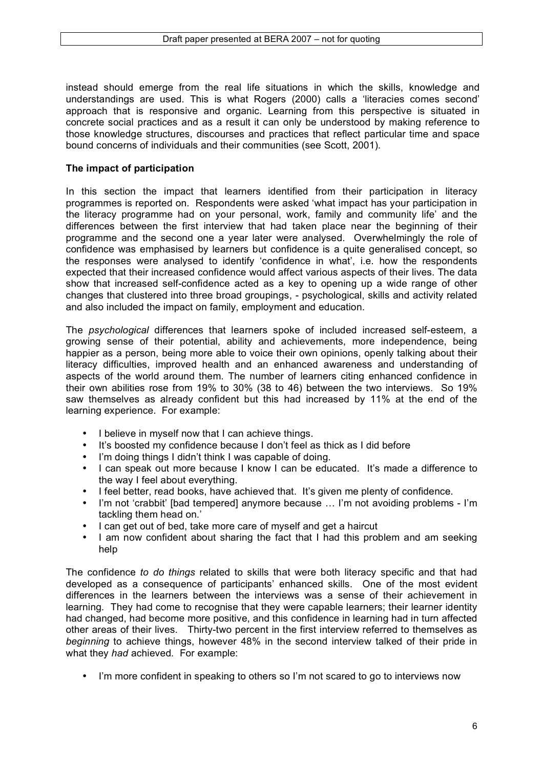instead should emerge from the real life situations in which the skills, knowledge and understandings are used. This is what Rogers (2000) calls a 'literacies comes second' approach that is responsive and organic. Learning from this perspective is situated in concrete social practices and as a result it can only be understood by making reference to those knowledge structures, discourses and practices that reflect particular time and space bound concerns of individuals and their communities (see Scott, 2001).

## **The impact of participation**

In this section the impact that learners identified from their participation in literacy programmes is reported on. Respondents were asked 'what impact has your participation in the literacy programme had on your personal, work, family and community life' and the differences between the first interview that had taken place near the beginning of their programme and the second one a year later were analysed. Overwhelmingly the role of confidence was emphasised by learners but confidence is a quite generalised concept, so the responses were analysed to identify 'confidence in what', i.e. how the respondents expected that their increased confidence would affect various aspects of their lives. The data show that increased self-confidence acted as a key to opening up a wide range of other changes that clustered into three broad groupings, - psychological, skills and activity related and also included the impact on family, employment and education.

The *psychological* differences that learners spoke of included increased self-esteem, a growing sense of their potential, ability and achievements, more independence, being happier as a person, being more able to voice their own opinions, openly talking about their literacy difficulties, improved health and an enhanced awareness and understanding of aspects of the world around them. The number of learners citing enhanced confidence in their own abilities rose from 19% to 30% (38 to 46) between the two interviews. So 19% saw themselves as already confident but this had increased by 11% at the end of the learning experience. For example:

- I believe in myself now that I can achieve things.<br>• It's boosted my confidence because I don't feel a
- It's boosted my confidence because I don't feel as thick as I did before<br>• I'm doing things I didn't think I was capable of doing.
- I'm doing things I didn't think I was capable of doing.
- I can speak out more because I know I can be educated. It's made a difference to the way I feel about everything.
- I feel better, read books, have achieved that. It's given me plenty of confidence.
- I'm not 'crabbit' [bad tempered] anymore because … I'm not avoiding problems I'm tackling them head on.'
- I can get out of bed, take more care of myself and get a haircut
- I am now confident about sharing the fact that I had this problem and am seeking help

The confidence *to do things* related to skills that were both literacy specific and that had developed as a consequence of participants' enhanced skills. One of the most evident differences in the learners between the interviews was a sense of their achievement in learning. They had come to recognise that they were capable learners; their learner identity had changed, had become more positive, and this confidence in learning had in turn affected other areas of their lives. Thirty-two percent in the first interview referred to themselves as *beginning* to achieve things, however 48% in the second interview talked of their pride in what they *had* achieved*.* For example:

• I'm more confident in speaking to others so I'm not scared to go to interviews now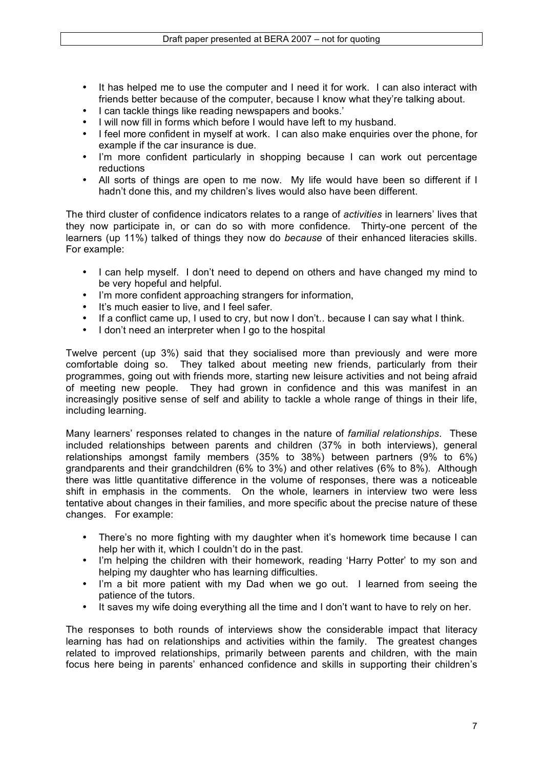- It has helped me to use the computer and I need it for work. I can also interact with friends better because of the computer, because I know what they're talking about.
- I can tackle things like reading newspapers and books.'
- I will now fill in forms which before I would have left to my husband.
- I feel more confident in myself at work. I can also make enquiries over the phone, for example if the car insurance is due.
- I'm more confident particularly in shopping because I can work out percentage reductions
- All sorts of things are open to me now. My life would have been so different if I hadn't done this, and my children's lives would also have been different.

The third cluster of confidence indicators relates to a range of *activities* in learners' lives that they now participate in, or can do so with more confidence. Thirty-one percent of the learners (up 11%) talked of things they now do *because* of their enhanced literacies skills. For example:

- I can help myself. I don't need to depend on others and have changed my mind to be very hopeful and helpful.
- I'm more confident approaching strangers for information,
- It's much easier to live, and I feel safer.
- If a conflict came up, I used to cry, but now I don't.. because I can say what I think.
- I don't need an interpreter when I go to the hospital

Twelve percent (up 3%) said that they socialised more than previously and were more comfortable doing so. They talked about meeting new friends, particularly from their programmes, going out with friends more, starting new leisure activities and not being afraid of meeting new people. They had grown in confidence and this was manifest in an increasingly positive sense of self and ability to tackle a whole range of things in their life, including learning.

Many learners' responses related to changes in the nature of *familial relationships*. These included relationships between parents and children (37% in both interviews), general relationships amongst family members (35% to 38%) between partners (9% to 6%) grandparents and their grandchildren (6% to 3%) and other relatives (6% to 8%). Although there was little quantitative difference in the volume of responses, there was a noticeable shift in emphasis in the comments. On the whole, learners in interview two were less tentative about changes in their families, and more specific about the precise nature of these changes. For example:

- There's no more fighting with my daughter when it's homework time because I can help her with it, which I couldn't do in the past.
- I'm helping the children with their homework, reading 'Harry Potter' to my son and helping my daughter who has learning difficulties.
- I'm a bit more patient with my Dad when we go out. I learned from seeing the patience of the tutors.
- It saves my wife doing everything all the time and I don't want to have to rely on her.

The responses to both rounds of interviews show the considerable impact that literacy learning has had on relationships and activities within the family. The greatest changes related to improved relationships, primarily between parents and children, with the main focus here being in parents' enhanced confidence and skills in supporting their children's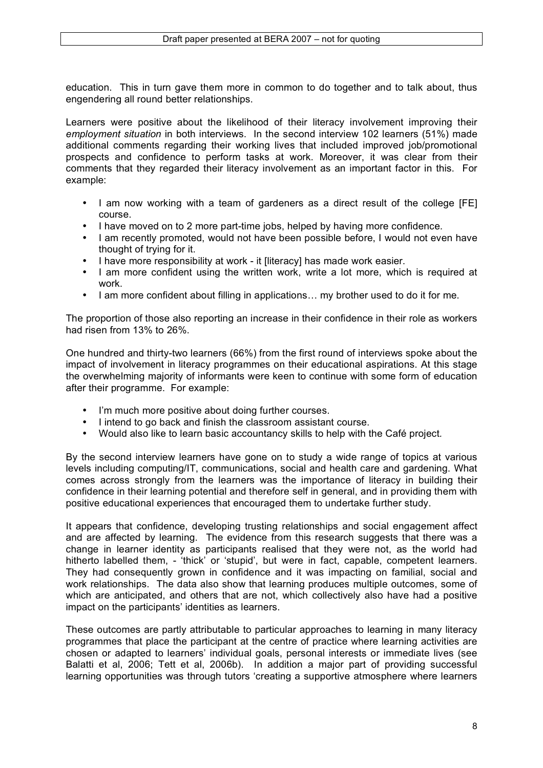education. This in turn gave them more in common to do together and to talk about, thus engendering all round better relationships.

Learners were positive about the likelihood of their literacy involvement improving their *employment situation* in both interviews. In the second interview 102 learners (51%) made additional comments regarding their working lives that included improved job/promotional prospects and confidence to perform tasks at work. Moreover, it was clear from their comments that they regarded their literacy involvement as an important factor in this. For example:

- I am now working with a team of gardeners as a direct result of the college [FE] course.
- I have moved on to 2 more part-time jobs, helped by having more confidence.
- I am recently promoted, would not have been possible before, I would not even have thought of trying for it.
- I have more responsibility at work it Iliteracyl has made work easier.
- I am more confident using the written work, write a lot more, which is required at work.
- I am more confident about filling in applications... my brother used to do it for me.

The proportion of those also reporting an increase in their confidence in their role as workers had risen from 13% to 26%.

One hundred and thirty-two learners (66%) from the first round of interviews spoke about the impact of involvement in literacy programmes on their educational aspirations. At this stage the overwhelming majority of informants were keen to continue with some form of education after their programme. For example:

- I'm much more positive about doing further courses.
- I intend to go back and finish the classroom assistant course.<br>• Would also like to learn basic accountancy skills to belp with t
- Would also like to learn basic accountancy skills to help with the Café project*.*

By the second interview learners have gone on to study a wide range of topics at various levels including computing/IT, communications, social and health care and gardening. What comes across strongly from the learners was the importance of literacy in building their confidence in their learning potential and therefore self in general, and in providing them with positive educational experiences that encouraged them to undertake further study.

It appears that confidence, developing trusting relationships and social engagement affect and are affected by learning. The evidence from this research suggests that there was a change in learner identity as participants realised that they were not, as the world had hitherto labelled them, - 'thick' or 'stupid', but were in fact, capable, competent learners. They had consequently grown in confidence and it was impacting on familial, social and work relationships. The data also show that learning produces multiple outcomes, some of which are anticipated, and others that are not, which collectively also have had a positive impact on the participants' identities as learners.

These outcomes are partly attributable to particular approaches to learning in many literacy programmes that place the participant at the centre of practice where learning activities are chosen or adapted to learners' individual goals, personal interests or immediate lives (see Balatti et al, 2006; Tett et al, 2006b). In addition a major part of providing successful learning opportunities was through tutors 'creating a supportive atmosphere where learners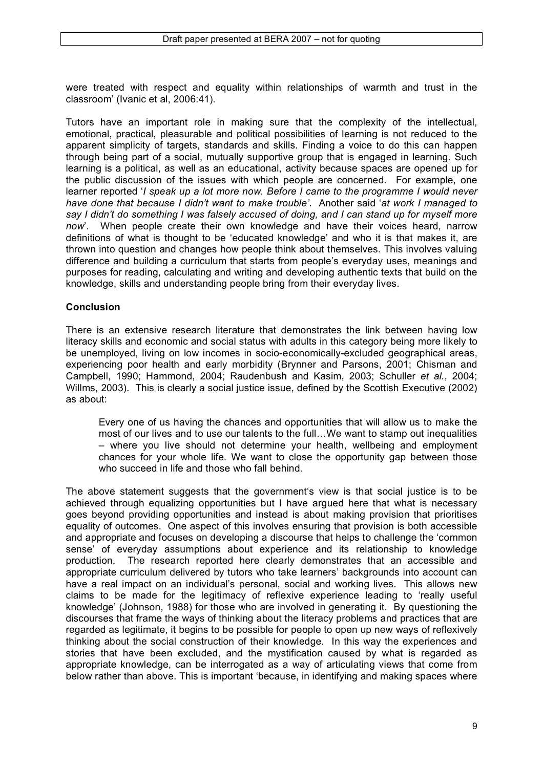were treated with respect and equality within relationships of warmth and trust in the classroom' (Ivanic et al, 2006:41).

Tutors have an important role in making sure that the complexity of the intellectual, emotional, practical, pleasurable and political possibilities of learning is not reduced to the apparent simplicity of targets, standards and skills. Finding a voice to do this can happen through being part of a social, mutually supportive group that is engaged in learning. Such learning is a political, as well as an educational, activity because spaces are opened up for the public discussion of the issues with which people are concerned. For example, one learner reported '*I speak up a lot more now. Before I came to the programme I would never have done that because I didn't want to make trouble'*. Another said '*at work I managed to say I didn't do something I was falsely accused of doing, and I can stand up for myself more now*'. When people create their own knowledge and have their voices heard, narrow definitions of what is thought to be 'educated knowledge' and who it is that makes it, are thrown into question and changes how people think about themselves. This involves valuing difference and building a curriculum that starts from people's everyday uses, meanings and purposes for reading, calculating and writing and developing authentic texts that build on the knowledge, skills and understanding people bring from their everyday lives.

### **Conclusion**

There is an extensive research literature that demonstrates the link between having low literacy skills and economic and social status with adults in this category being more likely to be unemployed, living on low incomes in socio-economically-excluded geographical areas, experiencing poor health and early morbidity (Brynner and Parsons, 2001; Chisman and Campbell, 1990; Hammond, 2004; Raudenbush and Kasim, 2003; Schuller *et al.*, 2004; Willms, 2003). This is clearly a social justice issue, defined by the Scottish Executive (2002) as about:

Every one of us having the chances and opportunities that will allow us to make the most of our lives and to use our talents to the full…We want to stamp out inequalities – where you live should not determine your health, wellbeing and employment chances for your whole life. We want to close the opportunity gap between those who succeed in life and those who fall behind.

The above statement suggests that the government's view is that social justice is to be achieved through equalizing opportunities but I have argued here that what is necessary goes beyond providing opportunities and instead is about making provision that prioritises equality of outcomes. One aspect of this involves ensuring that provision is both accessible and appropriate and focuses on developing a discourse that helps to challenge the 'common sense' of everyday assumptions about experience and its relationship to knowledge production. The research reported here clearly demonstrates that an accessible and appropriate curriculum delivered by tutors who take learners' backgrounds into account can have a real impact on an individual's personal, social and working lives. This allows new claims to be made for the legitimacy of reflexive experience leading to 'really useful knowledge' (Johnson, 1988) for those who are involved in generating it. By questioning the discourses that frame the ways of thinking about the literacy problems and practices that are regarded as legitimate, it begins to be possible for people to open up new ways of reflexively thinking about the social construction of their knowledge. In this way the experiences and stories that have been excluded, and the mystification caused by what is regarded as appropriate knowledge, can be interrogated as a way of articulating views that come from below rather than above. This is important 'because, in identifying and making spaces where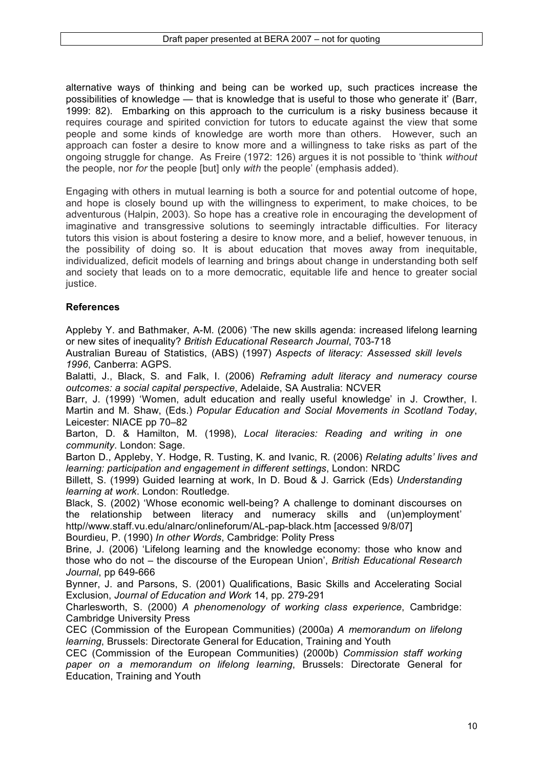alternative ways of thinking and being can be worked up, such practices increase the possibilities of knowledge — that is knowledge that is useful to those who generate it' (Barr, 1999: 82). Embarking on this approach to the curriculum is a risky business because it requires courage and spirited conviction for tutors to educate against the view that some people and some kinds of knowledge are worth more than others. However, such an approach can foster a desire to know more and a willingness to take risks as part of the ongoing struggle for change. As Freire (1972: 126) argues it is not possible to 'think *without* the people, nor *for* the people [but] only *with* the people' (emphasis added).

Engaging with others in mutual learning is both a source for and potential outcome of hope, and hope is closely bound up with the willingness to experiment, to make choices, to be adventurous (Halpin, 2003). So hope has a creative role in encouraging the development of imaginative and transgressive solutions to seemingly intractable difficulties. For literacy tutors this vision is about fostering a desire to know more, and a belief, however tenuous, in the possibility of doing so. It is about education that moves away from inequitable, individualized, deficit models of learning and brings about change in understanding both self and society that leads on to a more democratic, equitable life and hence to greater social justice.

# **References**

Appleby Y. and Bathmaker, A-M. (2006) 'The new skills agenda: increased lifelong learning or new sites of inequality? *British Educational Research Journal*, 703-718

Australian Bureau of Statistics, (ABS) (1997) *Aspects of literacy: Assessed skill levels 1996*, Canberra: AGPS.

Balatti, J., Black, S. and Falk, I. (2006) *Reframing adult literacy and numeracy course outcomes: a social capital perspective*, Adelaide, SA Australia: NCVER

Barr, J. (1999) 'Women, adult education and really useful knowledge' in J. Crowther, I. Martin and M. Shaw, (Eds.) *Popular Education and Social Movements in Scotland Today*, Leicester: NIACE pp 70–82

Barton, D. & Hamilton, M. (1998), *Local literacies: Reading and writing in one community*. London: Sage.

Barton D., Appleby, Y. Hodge, R. Tusting, K. and Ivanic, R. (2006) *Relating adults' lives and learning: participation and engagement in different settings*, London: NRDC

Billett, S. (1999) Guided learning at work, In D. Boud & J. Garrick (Eds) *Understanding learning at work*. London: Routledge.

Black, S. (2002) 'Whose economic well-being? A challenge to dominant discourses on the relationship between literacy and numeracy skills and (un)employment' http//www.staff.vu.edu/alnarc/onlineforum/AL-pap-black.htm [accessed 9/8/07] Bourdieu, P. (1990) *In other Words*, Cambridge: Polity Press

Brine, J. (2006) 'Lifelong learning and the knowledge economy: those who know and those who do not – the discourse of the European Union', *British Educational Research Journal*, pp 649-666

Bynner, J. and Parsons, S. (2001) Qualifications, Basic Skills and Accelerating Social Exclusion, *Journal of Education and Work* 14, pp. 279-291

Charlesworth, S. (2000) *A phenomenology of working class experience*, Cambridge: Cambridge University Press

CEC (Commission of the European Communities) (2000a) *A memorandum on lifelong learning*, Brussels: Directorate General for Education, Training and Youth

CEC (Commission of the European Communities) (2000b) *Commission staff working paper on a memorandum on lifelong learning*, Brussels: Directorate General for Education, Training and Youth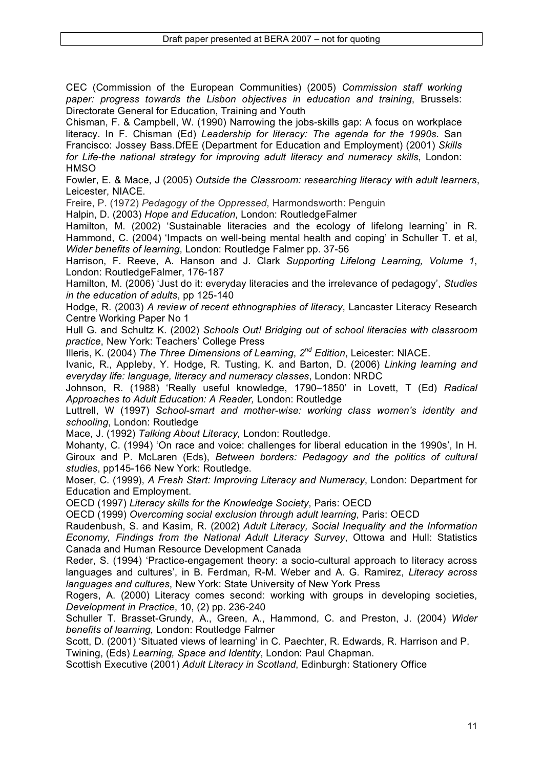CEC (Commission of the European Communities) (2005) *Commission staff working paper: progress towards the Lisbon objectives in education and training*, Brussels: Directorate General for Education, Training and Youth

Chisman, F. & Campbell, W. (1990) Narrowing the jobs-skills gap: A focus on workplace literacy. In F. Chisman (Ed) *Leadership for literacy: The agenda for the 1990s*. San Francisco: Jossey Bass.DfEE (Department for Education and Employment) (2001) *Skills for Life-the national strategy for improving adult literacy and numeracy skills*, London: **HMSO** 

Fowler, E. & Mace, J (2005) *Outside the Classroom: researching literacy with adult learners*, Leicester, NIACE.

Freire, P. (1972) *Pedagogy of the Oppressed*, Harmondsworth: Penguin

Halpin, D. (2003) *Hope and Education*, London: RoutledgeFalmer

Hamilton, M. (2002) 'Sustainable literacies and the ecology of lifelong learning' in R. Hammond, C. (2004) 'Impacts on well-being mental health and coping' in Schuller T. et al, *Wider benefits of learning*, London: Routledge Falmer pp. 37-56

Harrison, F. Reeve, A. Hanson and J. Clark *Supporting Lifelong Learning, Volume 1*, London: RoutledgeFalmer, 176-187

Hamilton, M. (2006) 'Just do it: everyday literacies and the irrelevance of pedagogy', *Studies in the education of adults*, pp 125-140

Hodge, R. (2003) *A review of recent ethnographies of literacy*, Lancaster Literacy Research Centre Working Paper No 1

Hull G. and Schultz K. (2002) *Schools Out! Bridging out of school literacies with classroom practice*, New York: Teachers' College Press

Illeris, K. (2004) *The Three Dimensions of Learning*, *2nd Edition*, Leicester: NIACE.

Ivanic, R., Appleby, Y. Hodge, R. Tusting, K. and Barton, D. (2006) *Linking learning and everyday life: language, literacy and numeracy classes*, London: NRDC

Johnson, R. (1988) 'Really useful knowledge, 1790–1850' in Lovett, T (Ed) *Radical Approaches to Adult Education: A Reader,* London: Routledge

Luttrell, W (1997) *School-smart and mother-wise: working class women's identity and schooling*, London: Routledge

Mace, J. (1992) *Talking About Literacy,* London: Routledge.

Mohanty, C. (1994) 'On race and voice: challenges for liberal education in the 1990s', In H. Giroux and P. McLaren (Eds), *Between borders: Pedagogy and the politics of cultural studies*, pp145-166 New York: Routledge.

Moser, C. (1999), *A Fresh Start: Improving Literacy and Numeracy*, London: Department for Education and Employment.

OECD (1997) *Literacy skills for the Knowledge Society*, Paris: OECD

OECD (1999) *Overcoming social exclusion through adult learning*, Paris: OECD

Raudenbush, S. and Kasim, R. (2002) *Adult Literacy, Social Inequality and the Information Economy, Findings from the National Adult Literacy Survey*, Ottowa and Hull: Statistics Canada and Human Resource Development Canada

Reder, S. (1994) 'Practice-engagement theory: a socio-cultural approach to literacy across languages and cultures', in B. Ferdman, R-M. Weber and A. G. Ramirez, *Literacy across languages and cultures*, New York: State University of New York Press

Rogers, A. (2000) Literacy comes second: working with groups in developing societies, *Development in Practice*, 10, (2) pp. 236-240

Schuller T. Brasset-Grundy, A., Green, A., Hammond, C. and Preston, J. (2004) *Wider benefits of learning*, London: Routledge Falmer

Scott, D. (2001) 'Situated views of learning' in C. Paechter, R. Edwards, R. Harrison and P. Twining, (Eds) *Learning, Space and Identity*, London: Paul Chapman.

Scottish Executive (2001) *Adult Literacy in Scotland*, Edinburgh: Stationery Office